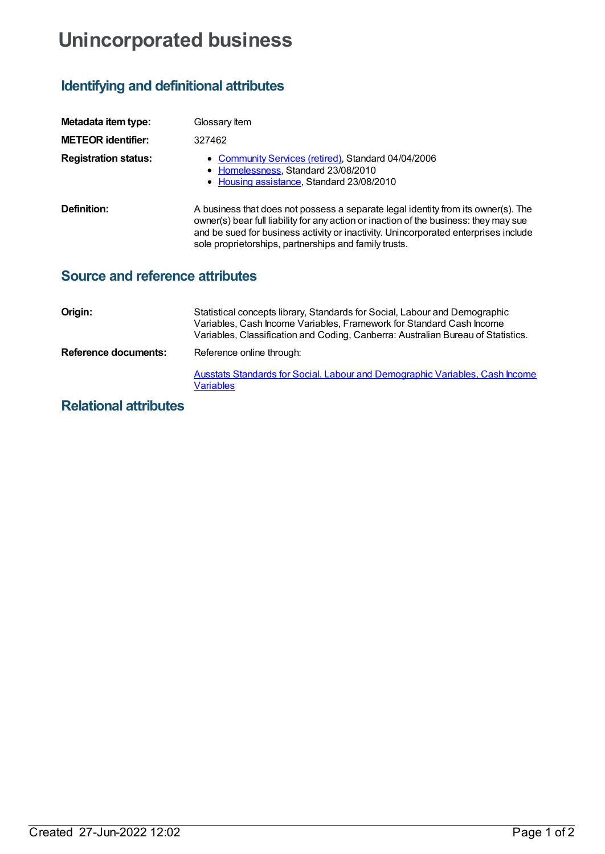## **Unincorporated business**

## **Identifying and definitional attributes**

| Metadata item type:                    | Glossary Item                                                                                                                                                                                                                                                                                                              |
|----------------------------------------|----------------------------------------------------------------------------------------------------------------------------------------------------------------------------------------------------------------------------------------------------------------------------------------------------------------------------|
| <b>METEOR identifier:</b>              | 327462                                                                                                                                                                                                                                                                                                                     |
| <b>Registration status:</b>            | • Community Services (retired), Standard 04/04/2006<br>• Homelessness, Standard 23/08/2010<br>• Housing assistance, Standard 23/08/2010                                                                                                                                                                                    |
| Definition:                            | A business that does not possess a separate legal identity from its owner(s). The<br>owner(s) bear full liability for any action or inaction of the business: they may sue<br>and be sued for business activity or inactivity. Unincorporated enterprises include<br>sole proprietorships, partnerships and family trusts. |
| <b>Source and reference attributes</b> |                                                                                                                                                                                                                                                                                                                            |
| Origin <sup>.</sup>                    | Statistical concents library, Standards for Social Labour and Demographic                                                                                                                                                                                                                                                  |

| UNIUL.               | <u>Statistical concepts library, Stariuarus for Social, Labour and Demographic</u><br>Variables, Cash Income Variables, Framework for Standard Cash Income<br>Variables, Classification and Coding, Canberra: Australian Bureau of Statistics. |
|----------------------|------------------------------------------------------------------------------------------------------------------------------------------------------------------------------------------------------------------------------------------------|
| Reference documents: | Reference online through:                                                                                                                                                                                                                      |
|                      | Ausstats Standards for Social, Labour and Demographic Variables, Cash Income<br>Variables                                                                                                                                                      |

## **Relational attributes**